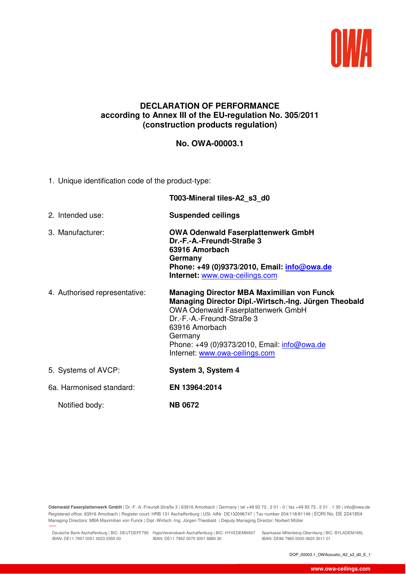

## **DECLARATION OF PERFORMANCE according to Annex III of the EU-regulation No. 305/2011 (construction products regulation)**

## **No. OWA-00003.1**

1. Unique identification code of the product-type:

|                               | T003-Mineral tiles-A2_s3_d0                                                                                                                                                                                                                                                                         |
|-------------------------------|-----------------------------------------------------------------------------------------------------------------------------------------------------------------------------------------------------------------------------------------------------------------------------------------------------|
| 2. Intended use:              | <b>Suspended ceilings</b>                                                                                                                                                                                                                                                                           |
| 3. Manufacturer:              | <b>OWA Odenwald Faserplattenwerk GmbH</b><br>Dr.-F.-A.-Freundt-Straße 3<br>63916 Amorbach<br>Germany<br>Phone: +49 (0)9373/2010, Email: <i>info@owa.de</i><br>Internet: www.owa-ceilings.com                                                                                                        |
| 4. Authorised representative: | <b>Managing Director MBA Maximilian von Funck</b><br>Managing Director Dipl.-Wirtsch.-Ing. Jürgen Theobald<br><b>OWA Odenwald Faserplattenwerk GmbH</b><br>Dr.-F.-A.-Freundt-Straße 3<br>63916 Amorbach<br>Germany<br>Phone: +49 (0)9373/2010, Email: info@owa.de<br>Internet: www.owa-ceilings.com |
| 5. Systems of AVCP:           | System 3, System 4                                                                                                                                                                                                                                                                                  |
| 6a. Harmonised standard:      | EN 13964:2014                                                                                                                                                                                                                                                                                       |
| Notified body:                | <b>NB 0672</b>                                                                                                                                                                                                                                                                                      |

**Odenwald Faserplattenwerk GmbH** | Dr.-F.-A.-Freundt-Straße 3 | 63916 Amorbach | Germany | tel +49 93 73 . 2 01 - 0 | fax +49 93 73 . 2 01 - 1 30 | info@owa.de Registered office: 63916 Amorbach | Register court: HRB 131 Aschaffenburg | USt.-IdNr. DE132096747 | Tax number 204/118/81149 | EORI No. DE 2241854 Managing Directors: MBA Maximilian von Funck | Dipl.-Wirtsch.-Ing. Jürgen Theobald | Deputy Managing Director: Norbert Müller

Deutsche Bank Aschaffenburg | BIC: DEUTDEFF795 HypoVereinsbank Aschaffenburg | BIC: HYVEDEMM407 Sparkasse Miltenberg-Obernburg | BIC: BYLADEM1MIL IBAN: DE11 7957 0051 0023 2355 00 IBAN: DE11 7952 0070 0001 6880 30

27.11.2018 09:41

IBAN: DE86 7965 0000 0620 3011 01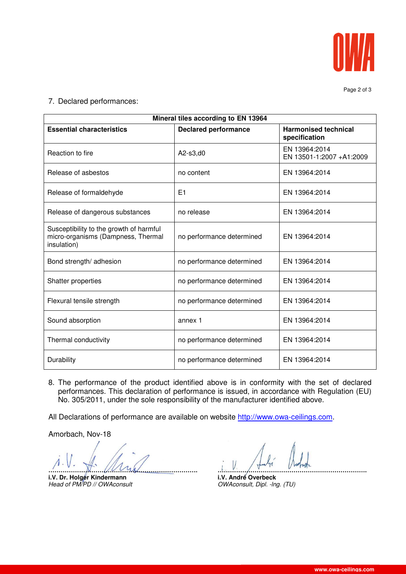

Page 2 of 3

7. Declared performances:

| Mineral tiles according to EN 13964                                                          |                             |                                              |  |
|----------------------------------------------------------------------------------------------|-----------------------------|----------------------------------------------|--|
| <b>Essential characteristics</b>                                                             | <b>Declared performance</b> | <b>Harmonised technical</b><br>specification |  |
| Reaction to fire                                                                             | A2-s3,d0                    | EN 13964:2014<br>EN 13501-1:2007 +A1:2009    |  |
| Release of asbestos                                                                          | no content                  | EN 13964:2014                                |  |
| Release of formaldehyde                                                                      | E1                          | EN 13964:2014                                |  |
| Release of dangerous substances                                                              | no release                  | EN 13964:2014                                |  |
| Susceptibility to the growth of harmful<br>micro-organisms (Dampness, Thermal<br>insulation) | no performance determined   | EN 13964:2014                                |  |
| Bond strength/ adhesion                                                                      | no performance determined   | EN 13964:2014                                |  |
| Shatter properties                                                                           | no performance determined   | EN 13964:2014                                |  |
| Flexural tensile strength                                                                    | no performance determined   | EN 13964:2014                                |  |
| Sound absorption                                                                             | annex 1                     | EN 13964:2014                                |  |
| Thermal conductivity                                                                         | no performance determined   | EN 13964:2014                                |  |
| Durability                                                                                   | no performance determined   | EN 13964:2014                                |  |

8. The performance of the product identified above is in conformity with the set of declared performances. This declaration of performance is issued, in accordance with Regulation (EU) No. 305/2011, under the sole responsibility of the manufacturer identified above.

All Declarations of performance are available on website http://www.owa-ceilings.com.

Amorbach, Nov-18

**………………………………………………………………. ……………………………………………………………….**

**i.V. Dr. Holger Kindermann i.V. André Overbeck i.V. André Overbeck i.** Head of PM/PD // OWAconsult **industry** 

OWAconsult, Dipl. -lng. (TU)